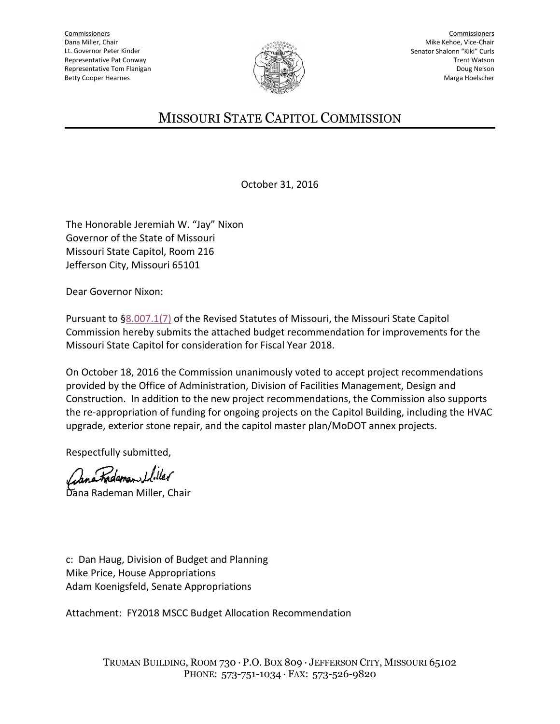**Commissioners** Dana Miller, Chair Lt. Governor Peter Kinder Representative Pat Conway Representative Tom Flanigan Betty Cooper Hearnes



Commissioners Mike Kehoe, Vice-Chair Senator Shalonn "Kiki" Curls Trent Watson Doug Nelson Marga Hoelscher

## MISSOURI STATE CAPITOL COMMISSION

October 31, 2016

The Honorable Jeremiah W. "Jay" Nixon Governor of the State of Missouri Missouri State Capitol, Room 216 Jefferson City, Missouri 65101

Dear Governor Nixon:

Pursuant to [§8.007.1\(7\)](http://www.moga.mo.gov/mostatutes/stathtml/00800000071.html) of the Revised Statutes of Missouri, the Missouri State Capitol Commission hereby submits the attached budget recommendation for improvements for the Missouri State Capitol for consideration for Fiscal Year 2018.

On October 18, 2016 the Commission unanimously voted to accept project recommendations provided by the Office of Administration, Division of Facilities Management, Design and Construction. In addition to the new project recommendations, the Commission also supports the re-appropriation of funding for ongoing projects on the Capitol Building, including the HVAC upgrade, exterior stone repair, and the capitol master plan/MoDOT annex projects.

Respectfully submitted,

Rademan Uiller

Dana Rademan Miller, Chair

c: Dan Haug, Division of Budget and Planning Mike Price, House Appropriations Adam Koenigsfeld, Senate Appropriations

Attachment: FY2018 MSCC Budget Allocation Recommendation

TRUMAN BUILDING, ROOM 730 · P.O. BOX 809 · JEFFERSON CITY, MISSOURI 65102 PHONE: 573-751-1034 · FAX: 573-526-9820